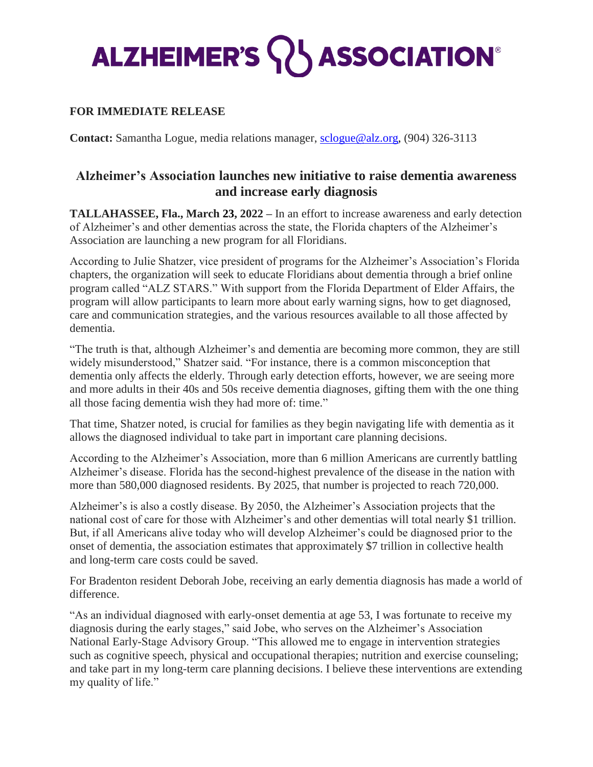## **ALZHEIMER'S WASSOCIATION®**

## **FOR IMMEDIATE RELEASE**

**Contact:** Samantha Logue, media relations manager, [sclogue@alz.org,](mailto:sclogue@alz.org) (904) 326-3113

## **Alzheimer's Association launches new initiative to raise dementia awareness and increase early diagnosis**

**TALLAHASSEE, Fla., March 23, 2022 –** In an effort to increase awareness and early detection of Alzheimer's and other dementias across the state, the Florida chapters of the Alzheimer's Association are launching a new program for all Floridians.

According to Julie Shatzer, vice president of programs for the Alzheimer's Association's Florida chapters, the organization will seek to educate Floridians about dementia through a brief online program called "ALZ STARS." With support from the Florida Department of Elder Affairs, the program will allow participants to learn more about early warning signs, how to get diagnosed, care and communication strategies, and the various resources available to all those affected by dementia.

"The truth is that, although Alzheimer's and dementia are becoming more common, they are still widely misunderstood," Shatzer said. "For instance, there is a common misconception that dementia only affects the elderly. Through early detection efforts, however, we are seeing more and more adults in their 40s and 50s receive dementia diagnoses, gifting them with the one thing all those facing dementia wish they had more of: time."

That time, Shatzer noted, is crucial for families as they begin navigating life with dementia as it allows the diagnosed individual to take part in important care planning decisions.

According to the Alzheimer's Association, more than 6 million Americans are currently battling Alzheimer's disease. Florida has the second-highest prevalence of the disease in the nation with more than 580,000 diagnosed residents. By 2025, that number is projected to reach 720,000.

Alzheimer's is also a costly disease. By 2050, the Alzheimer's Association projects that the national cost of care for those with Alzheimer's and other dementias will total nearly \$1 trillion. But, if all Americans alive today who will develop Alzheimer's could be diagnosed prior to the onset of dementia, the association estimates that approximately \$7 trillion in collective health and long-term care costs could be saved.

For Bradenton resident Deborah Jobe, receiving an early dementia diagnosis has made a world of difference.

"As an individual diagnosed with early-onset dementia at age 53, I was fortunate to receive my diagnosis during the early stages," said Jobe, who serves on the Alzheimer's Association National Early-Stage Advisory Group. "This allowed me to engage in intervention strategies such as cognitive speech, physical and occupational therapies; nutrition and exercise counseling; and take part in my long-term care planning decisions. I believe these interventions are extending my quality of life."